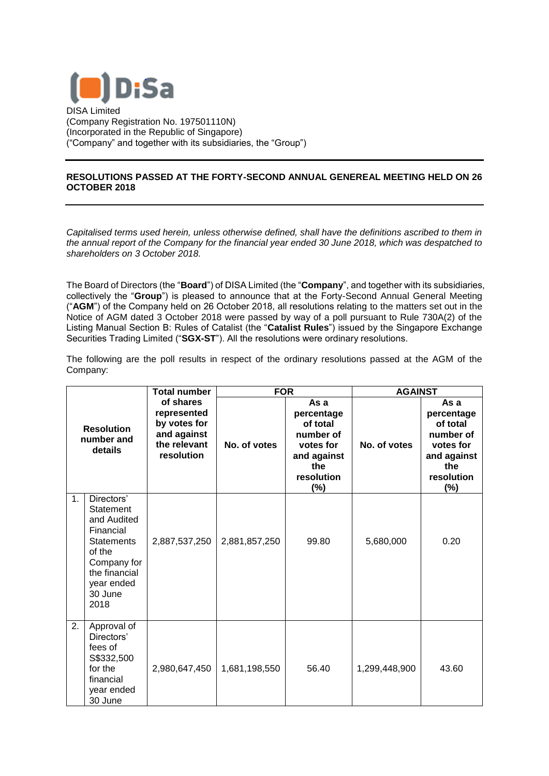

DISA Limited (Company Registration No. 197501110N) (Incorporated in the Republic of Singapore) ("Company" and together with its subsidiaries, the "Group")

## **RESOLUTIONS PASSED AT THE FORTY-SECOND ANNUAL GENEREAL MEETING HELD ON 26 OCTOBER 2018**

*Capitalised terms used herein, unless otherwise defined, shall have the definitions ascribed to them in the annual report of the Company for the financial year ended 30 June 2018, which was despatched to shareholders on 3 October 2018.*

The Board of Directors (the "**Board**") of DISA Limited (the "**Company**", and together with its subsidiaries, collectively the "**Group**") is pleased to announce that at the Forty-Second Annual General Meeting ("**AGM**") of the Company held on 26 October 2018, all resolutions relating to the matters set out in the Notice of AGM dated 3 October 2018 were passed by way of a poll pursuant to Rule 730A(2) of the Listing Manual Section B: Rules of Catalist (the "**Catalist Rules**") issued by the Singapore Exchange Securities Trading Limited ("**SGX-ST**"). All the resolutions were ordinary resolutions.

The following are the poll results in respect of the ordinary resolutions passed at the AGM of the Company:

|                                            |                                                                                                                                                     | <b>Total number</b>                                                                   | <b>FOR</b>    |                                                                                                        | <b>AGAINST</b> |                                                                                                        |
|--------------------------------------------|-----------------------------------------------------------------------------------------------------------------------------------------------------|---------------------------------------------------------------------------------------|---------------|--------------------------------------------------------------------------------------------------------|----------------|--------------------------------------------------------------------------------------------------------|
| <b>Resolution</b><br>number and<br>details |                                                                                                                                                     | of shares<br>represented<br>by votes for<br>and against<br>the relevant<br>resolution | No. of votes  | As a<br>percentage<br>of total<br>number of<br>votes for<br>and against<br>the<br>resolution<br>$(\%)$ | No. of votes   | As a<br>percentage<br>of total<br>number of<br>votes for<br>and against<br>the<br>resolution<br>$(\%)$ |
| 1 <sub>1</sub>                             | Directors'<br>Statement<br>and Audited<br>Financial<br><b>Statements</b><br>of the<br>Company for<br>the financial<br>year ended<br>30 June<br>2018 | 2,887,537,250                                                                         | 2,881,857,250 | 99.80                                                                                                  | 5,680,000      | 0.20                                                                                                   |
| 2.                                         | Approval of<br>Directors'<br>fees of<br>S\$332,500<br>for the<br>financial<br>year ended<br>30 June                                                 | 2,980,647,450                                                                         | 1,681,198,550 | 56.40                                                                                                  | 1,299,448,900  | 43.60                                                                                                  |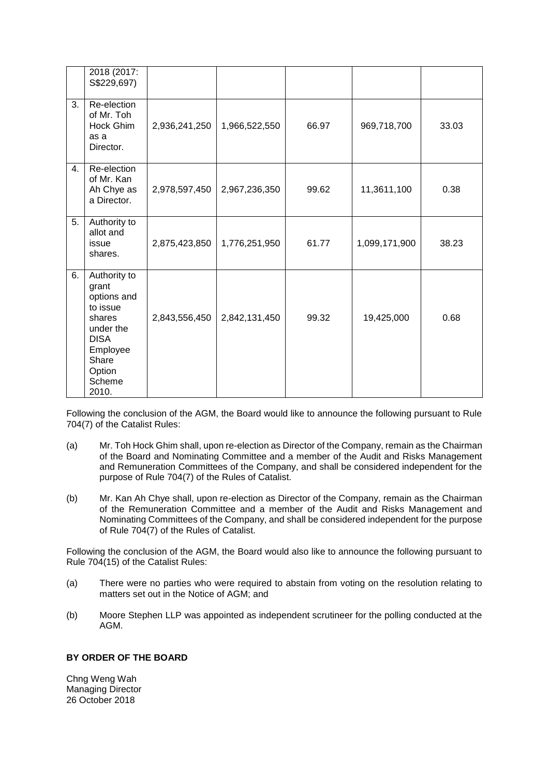|    | 2018 (2017:<br>S\$229,697)                                                                                                               |               |               |       |               |       |
|----|------------------------------------------------------------------------------------------------------------------------------------------|---------------|---------------|-------|---------------|-------|
| 3. | Re-election<br>of Mr. Toh<br>Hock Ghim<br>as a<br>Director.                                                                              | 2,936,241,250 | 1,966,522,550 | 66.97 | 969,718,700   | 33.03 |
| 4. | Re-election<br>of Mr. Kan<br>Ah Chye as<br>a Director.                                                                                   | 2,978,597,450 | 2,967,236,350 | 99.62 | 11,3611,100   | 0.38  |
| 5. | Authority to<br>allot and<br>issue<br>shares.                                                                                            | 2,875,423,850 | 1,776,251,950 | 61.77 | 1,099,171,900 | 38.23 |
| 6. | Authority to<br>grant<br>options and<br>to issue<br>shares<br>under the<br><b>DISA</b><br>Employee<br>Share<br>Option<br>Scheme<br>2010. | 2,843,556,450 | 2,842,131,450 | 99.32 | 19,425,000    | 0.68  |

Following the conclusion of the AGM, the Board would like to announce the following pursuant to Rule 704(7) of the Catalist Rules:

- (a) Mr. Toh Hock Ghim shall, upon re-election as Director of the Company, remain as the Chairman of the Board and Nominating Committee and a member of the Audit and Risks Management and Remuneration Committees of the Company, and shall be considered independent for the purpose of Rule 704(7) of the Rules of Catalist.
- (b) Mr. Kan Ah Chye shall, upon re-election as Director of the Company, remain as the Chairman of the Remuneration Committee and a member of the Audit and Risks Management and Nominating Committees of the Company, and shall be considered independent for the purpose of Rule 704(7) of the Rules of Catalist.

Following the conclusion of the AGM, the Board would also like to announce the following pursuant to Rule 704(15) of the Catalist Rules:

- (a) There were no parties who were required to abstain from voting on the resolution relating to matters set out in the Notice of AGM; and
- (b) Moore Stephen LLP was appointed as independent scrutineer for the polling conducted at the AGM.

## **BY ORDER OF THE BOARD**

Chng Weng Wah Managing Director 26 October 2018